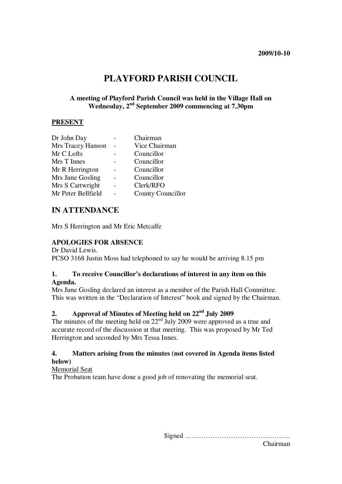# **PLAYFORD PARISH COUNCIL**

## **A meeting of Playford Parish Council was held in the Village Hall on Wednesday, 2nd September 2009 commencing at 7.30pm**

### **PRESENT**

| Dr John Day        | Chairman                 |
|--------------------|--------------------------|
| Mrs Tracey Hanson  | Vice Chairman            |
| Mr C Lofts         | Councillor               |
| Mrs T Innes        | Councillor               |
| Mr R Herrington    | Councillor               |
| Mrs June Gosling   | Councillor               |
| Mrs S Cartwright   | Clerk/RFO                |
| Mr Peter Bellfield | <b>County Councillor</b> |

# **IN ATTENDANCE**

Mrs S Herrington and Mr Eric Metcalfe

## **APOLOGIES FOR ABSENCE**

Dr David Lewis. PCSO 3168 Justin Moss had telephoned to say he would be arriving 8.15 pm

#### **1. To receive Councillor's declarations of interest in any item on this Agenda.**

Mrs June Gosling declared an interest as a member of the Parish Hall Committee. This was written in the "Declaration of Interest" book and signed by the Chairman.

# **2. Approval of Minutes of Meeting held on 22nd July 2009**

The minutes of the meeting held on  $22<sup>nd</sup>$  July 2009 were approved as a true and accurate record of the discussion at that meeting. This was proposed by Mr Ted Herrington and seconded by Mrs Tessa Innes.

#### **4. Matters arising from the minutes (not covered in Agenda items listed below)**

## Memorial Seat

The Probation team have done a good job of renovating the memorial seat.

Signed ………………………………………. Chairman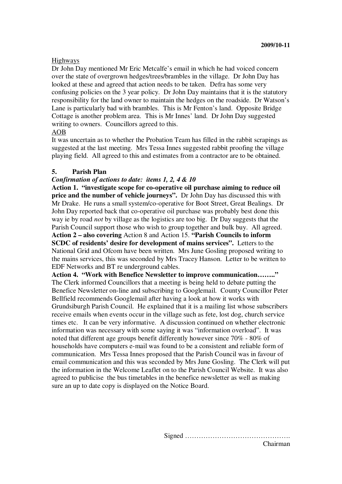#### Highways

Dr John Day mentioned Mr Eric Metcalfe's email in which he had voiced concern over the state of overgrown hedges/trees/brambles in the village. Dr John Day has looked at these and agreed that action needs to be taken. Defra has some very confusing policies on the 3 year policy. Dr John Day maintains that it is the statutory responsibility for the land owner to maintain the hedges on the roadside. Dr Watson's Lane is particularly bad with brambles. This is Mr Fenton's land. Opposite Bridge Cottage is another problem area. This is Mr Innes' land. Dr John Day suggested writing to owners. Councillors agreed to this.

#### AOB

It was uncertain as to whether the Probation Team has filled in the rabbit scrapings as suggested at the last meeting. Mrs Tessa Innes suggested rabbit proofing the village playing field. All agreed to this and estimates from a contractor are to be obtained.

#### **5. Parish Plan**

#### *Confirmation of actions to date: items 1, 2, 4 & 10*

**Action 1. "investigate scope for co-operative oil purchase aiming to reduce oil price and the number of vehicle journeys".** Dr John Day has discussed this with Mr Drake. He runs a small system/co-operative for Boot Street, Great Bealings. Dr John Day reported back that co-operative oil purchase was probably best done this way ie by road *not* by village as the logistics are too big. Dr Day suggests that the Parish Council support those who wish to group together and bulk buy. All agreed. **Action 2 – also covering** Action 8 and Action 15. **"Parish Councils to inform SCDC of residents' desire for development of mains services".** Letters to the National Grid and Ofcom have been written. Mrs June Gosling proposed writing to the mains services, this was seconded by Mrs Tracey Hanson. Letter to be written to EDF Networks and BT re underground cables.

**Action 4. "Work with Benefice Newsletter to improve communication…….."**  The Clerk informed Councillors that a meeting is being held to debate putting the Benefice Newsletter on-line and subscribing to Googlemail. County Councillor Peter Bellfield recommends Googlemail after having a look at how it works with Grundsiburgh Parish Council. He explained that it is a mailing list whose subscribers receive emails when events occur in the village such as fete, lost dog, church service times etc. It can be very informative. A discussion continued on whether electronic information was necessary with some saying it was "information overload". It was noted that different age groups benefit differently however since 70% - 80% of households have computers e-mail was found to be a consistent and reliable form of communication. Mrs Tessa Innes proposed that the Parish Council was in favour of email communication and this was seconded by Mrs June Gosling. The Clerk will put the information in the Welcome Leaflet on to the Parish Council Website. It was also agreed to publicise the bus timetables in the benefice newsletter as well as making sure an up to date copy is displayed on the Notice Board.

> Signed ………………………………………. Chairman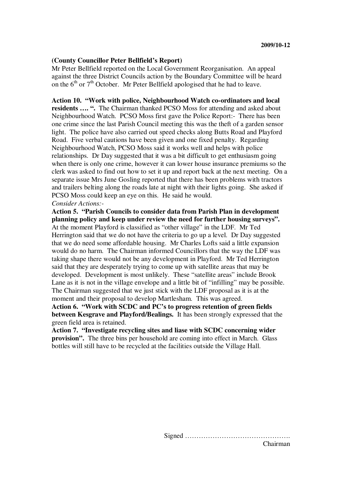#### **(County Councillor Peter Bellfield's Report)**

Mr Peter Bellfield reported on the Local Government Reorganisation. An appeal against the three District Councils action by the Boundary Committee will be heard on the  $6<sup>th</sup>$  or  $7<sup>th</sup>$  October. Mr Peter Bellfield apologised that he had to leave.

**Action 10. "Work with police, Neighbourhood Watch co-ordinators and local residents …. ".** The Chairman thanked PCSO Moss for attending and asked about Neighbourhood Watch. PCSO Moss first gave the Police Report:- There has been one crime since the last Parish Council meeting this was the theft of a garden sensor light. The police have also carried out speed checks along Butts Road and Playford Road. Five verbal cautions have been given and one fixed penalty. Regarding Neighbourhood Watch, PCSO Moss said it works well and helps with police relationships. Dr Day suggested that it was a bit difficult to get enthusiasm going when there is only one crime, however it can lower house insurance premiums so the clerk was asked to find out how to set it up and report back at the next meeting. On a separate issue Mrs June Gosling reported that there has been problems with tractors and trailers belting along the roads late at night with their lights going. She asked if PCSO Moss could keep an eye on this. He said he would. *Consider Actions:-* 

**Action 5. "Parish Councils to consider data from Parish Plan in development planning policy and keep under review the need for further housing surveys".**  At the moment Playford is classified as "other village" in the LDF. Mr Ted Herrington said that we do not have the criteria to go up a level. Dr Day suggested that we do need some affordable housing. Mr Charles Lofts said a little expansion would do no harm. The Chairman informed Councillors that the way the LDF was taking shape there would not be any development in Playford. Mr Ted Herrington said that they are desperately trying to come up with satellite areas that may be developed. Development is most unlikely. These "satellite areas" include Brook Lane as it is not in the village envelope and a little bit of "infilling" may be possible. The Chairman suggested that we just stick with the LDF proposal as it is at the moment and their proposal to develop Martlesham. This was agreed.

**Action 6. "Work with SCDC and PC's to progress retention of green fields between Kesgrave and Playford/Bealings.** It has been strongly expressed that the green field area is retained.

**Action 7. "Investigate recycling sites and liase with SCDC concerning wider provision".** The three bins per household are coming into effect in March. Glass bottles will still have to be recycled at the facilities outside the Village Hall.

> Signed ………………………………………. Chairman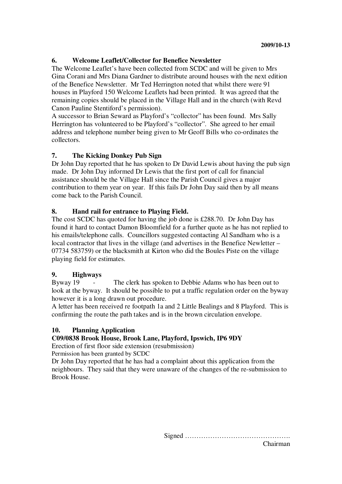## **6. Welcome Leaflet/Collector for Benefice Newsletter**

The Welcome Leaflet's have been collected from SCDC and will be given to Mrs Gina Corani and Mrs Diana Gardner to distribute around houses with the next edition of the Benefice Newsletter. Mr Ted Herrington noted that whilst there were 91 houses in Playford 150 Welcome Leaflets had been printed. It was agreed that the remaining copies should be placed in the Village Hall and in the church (with Revd Canon Pauline Stentiford's permission).

A successor to Brian Seward as Playford's "collector" has been found. Mrs Sally Herrington has volunteered to be Playford's "collector". She agreed to her email address and telephone number being given to Mr Geoff Bills who co-ordinates the collectors.

# **7. The Kicking Donkey Pub Sign**

Dr John Day reported that he has spoken to Dr David Lewis about having the pub sign made. Dr John Day informed Dr Lewis that the first port of call for financial assistance should be the Village Hall since the Parish Council gives a major contribution to them year on year. If this fails Dr John Day said then by all means come back to the Parish Council.

# **8. Hand rail for entrance to Playing Field.**

The cost SCDC has quoted for having the job done is £288.70. Dr John Day has found it hard to contact Damon Bloomfield for a further quote as he has not replied to his emails/telephone calls. Councillors suggested contacting Al Sandham who is a local contractor that lives in the village (and advertises in the Benefice Newletter – 07734 583759) or the blacksmith at Kirton who did the Boules Piste on the village playing field for estimates.

# **9. Highways**

Byway 19 - The clerk has spoken to Debbie Adams who has been out to look at the byway. It should be possible to put a traffic regulation order on the byway however it is a long drawn out procedure.

A letter has been received re footpath 1a and 2 Little Bealings and 8 Playford. This is confirming the route the path takes and is in the brown circulation envelope.

# **10. Planning Application**

# **C09/0838 Brook House, Brook Lane, Playford, Ipswich, IP6 9DY**

Erection of first floor side extension (resubmission)

Permission has been granted by SCDC

Dr John Day reported that he has had a complaint about this application from the neighbours. They said that they were unaware of the changes of the re-submission to Brook House.